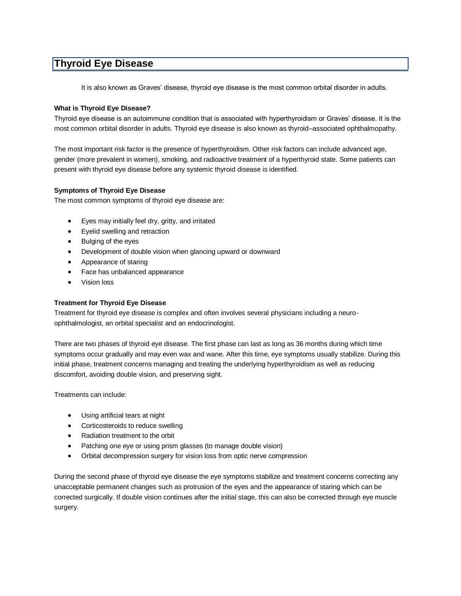## **Thyroid Eye Disease**

It is also known as Graves' disease, thyroid eye disease is the most common orbital disorder in adults.

## **What is Thyroid Eye Disease?**

Thyroid eye disease is an autoimmune condition that is associated with hyperthyroidism or Graves' disease. It is the most common orbital disorder in adults. Thyroid eye disease is also known as thyroid–associated ophthalmopathy.

The most important risk factor is the presence of hyperthyroidism. Other risk factors can include advanced age, gender (more prevalent in women), smoking, and radioactive treatment of a hyperthyroid state. Some patients can present with thyroid eye disease before any systemic thyroid disease is identified.

## **Symptoms of Thyroid Eye Disease**

The most common symptoms of thyroid eye disease are:

- Eyes may initially feel dry, gritty, and irritated
- Eyelid swelling and retraction
- Bulging of the eyes
- Development of double vision when glancing upward or downward
- Appearance of staring
- Face has unbalanced appearance
- Vision loss

## **Treatment for Thyroid Eye Disease**

Treatment for thyroid eye disease is complex and often involves several physicians including a neuroophthalmologist, an orbital specialist and an endocrinologist.

There are two phases of thyroid eye disease. The first phase can last as long as 36 months during which time symptoms occur gradually and may even wax and wane. After this time, eye symptoms usually stabilize. During this initial phase, treatment concerns managing and treating the underlying hyperthyroidism as well as reducing discomfort, avoiding double vision, and preserving sight.

Treatments can include:

- Using artificial tears at night
- Corticosteroids to reduce swelling
- Radiation treatment to the orbit
- Patching one eye or using prism glasses (to manage double vision)
- Orbital decompression surgery for vision loss from optic nerve compression

During the second phase of thyroid eye disease the eye symptoms stabilize and treatment concerns correcting any unacceptable permanent changes such as protrusion of the eyes and the appearance of staring which can be corrected surgically. If double vision continues after the initial stage, this can also be corrected through eye muscle surgery.